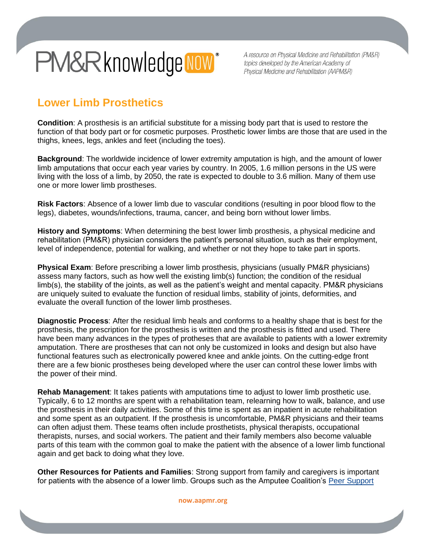# PM&Rknowledge NOW\*

A resource on Physical Medicine and Rehabilitation (PM&R) topics developed by the American Academy of Physical Medicine and Rehabilitation (AAPM&R)

## **Lower Limb Prosthetics**

**Condition**: A prosthesis is an artificial substitute for a missing body part that is used to restore the function of that body part or for cosmetic purposes. Prosthetic lower limbs are those that are used in the thighs, knees, legs, ankles and feet (including the toes).

**Background**: The worldwide incidence of lower extremity amputation is high, and the amount of lower limb amputations that occur each year varies by country. In 2005, 1.6 million persons in the US were living with the loss of a limb, by 2050, the rate is expected to double to 3.6 million. Many of them use one or more lower limb prostheses.

**Risk Factors**: Absence of a lower limb due to vascular conditions (resulting in poor blood flow to the legs), diabetes, wounds/infections, trauma, cancer, and being born without lower limbs.

**History and Symptoms**: When determining the best lower limb prosthesis, a physical medicine and rehabilitation (PM&R) physician considers the patient's personal situation, such as their employment, level of independence, potential for walking, and whether or not they hope to take part in sports.

**Physical Exam**: Before prescribing a lower limb prosthesis, physicians (usually PM&R physicians) assess many factors, such as how well the existing limb(s) function; the condition of the residual limb(s), the stability of the joints, as well as the patient's weight and mental capacity. PM&R physicians are uniquely suited to evaluate the function of residual limbs, stability of joints, deformities, and evaluate the overall function of the lower limb prostheses.

**Diagnostic Process**: After the residual limb heals and conforms to a healthy shape that is best for the prosthesis, the prescription for the prosthesis is written and the prosthesis is fitted and used. There have been many advances in the types of protheses that are available to patients with a lower extremity amputation. There are prostheses that can not only be customized in looks and design but also have functional features such as electronically powered knee and ankle joints. On the cutting-edge front there are a few bionic prostheses being developed where the user can control these lower limbs with the power of their mind.

**Rehab Management**: It takes patients with amputations time to adjust to lower limb prosthetic use. Typically, 6 to 12 months are spent with a rehabilitation team, relearning how to walk, balance, and use the prosthesis in their daily activities. Some of this time is spent as an inpatient in acute rehabilitation and some spent as an outpatient. If the prosthesis is uncomfortable, PM&R physicians and their teams can often adjust them. These teams often include prosthetists, physical therapists, occupational therapists, nurses, and social workers. The patient and their family members also become valuable parts of this team with the common goal to make the patient with the absence of a lower limb functional again and get back to doing what they love.

**Other Resources for Patients and Families**: Strong support from family and caregivers is important for patients with the absence of a lower limb. Groups such as the Amputee Coalition's [Peer Support](http://www.amputee-coalition.org/support-groups-peer-support/)